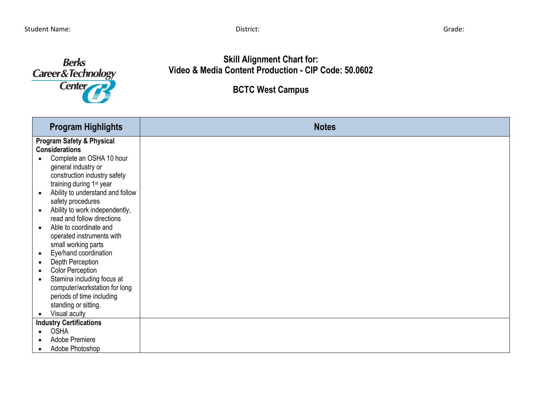

**Skill Alignment Chart for: Video & Media Content Production - CIP Code: 50.0602**

**BCTC West Campus**

| <b>Program Highlights</b>                     | <b>Notes</b> |
|-----------------------------------------------|--------------|
| <b>Program Safety &amp; Physical</b>          |              |
| <b>Considerations</b>                         |              |
| Complete an OSHA 10 hour                      |              |
| general industry or                           |              |
| construction industry safety                  |              |
| training during 1 <sup>st</sup> year          |              |
| Ability to understand and follow<br>$\bullet$ |              |
| safety procedures                             |              |
| Ability to work independently,                |              |
| read and follow directions                    |              |
| Able to coordinate and                        |              |
| operated instruments with                     |              |
| small working parts                           |              |
| Eye/hand coordination<br>$\bullet$            |              |
| Depth Perception<br>$\bullet$                 |              |
| <b>Color Perception</b>                       |              |
| Stamina including focus at<br>$\bullet$       |              |
| computer/workstation for long                 |              |
| periods of time including                     |              |
| standing or sitting.                          |              |
| Visual acuity<br>$\bullet$                    |              |
| <b>Industry Certifications</b>                |              |
| <b>OSHA</b>                                   |              |
| Adobe Premiere                                |              |
| Adobe Photoshop<br>$\bullet$                  |              |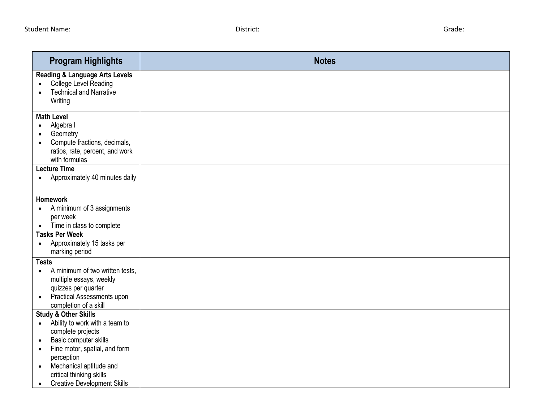| <b>Program Highlights</b>                                                                                                                                                                             | <b>Notes</b> |
|-------------------------------------------------------------------------------------------------------------------------------------------------------------------------------------------------------|--------------|
| <b>Reading &amp; Language Arts Levels</b><br><b>College Level Reading</b><br>$\bullet$<br><b>Technical and Narrative</b><br>Writing                                                                   |              |
| <b>Math Level</b><br>Algebra I<br>$\bullet$<br>Geometry<br>Compute fractions, decimals,<br>$\bullet$<br>ratios, rate, percent, and work<br>with formulas                                              |              |
| <b>Lecture Time</b><br>Approximately 40 minutes daily<br>$\bullet$                                                                                                                                    |              |
| <b>Homework</b><br>A minimum of 3 assignments<br>$\bullet$<br>per week<br>Time in class to complete<br>$\bullet$                                                                                      |              |
| <b>Tasks Per Week</b><br>Approximately 15 tasks per<br>$\bullet$<br>marking period                                                                                                                    |              |
| <b>Tests</b><br>A minimum of two written tests,<br>$\bullet$<br>multiple essays, weekly<br>quizzes per quarter<br>Practical Assessments upon<br>$\bullet$<br>completion of a skill                    |              |
| <b>Study &amp; Other Skills</b><br>Ability to work with a team to<br>$\bullet$<br>complete projects<br>Basic computer skills<br>$\bullet$<br>Fine motor, spatial, and form<br>$\bullet$<br>perception |              |
| Mechanical aptitude and<br>$\bullet$<br>critical thinking skills<br><b>Creative Development Skills</b><br>$\bullet$                                                                                   |              |